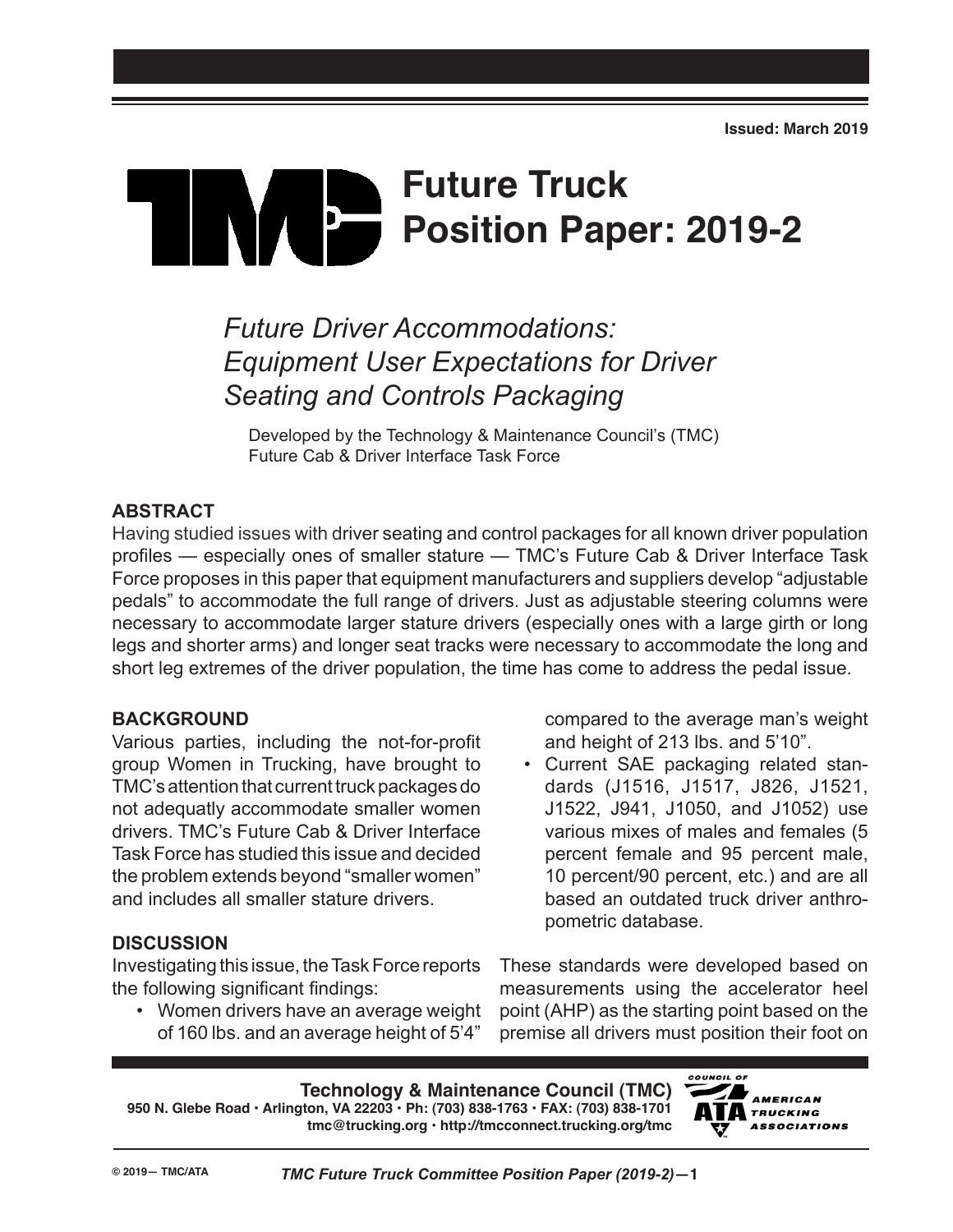# **Future Truck**  $\mathbf{b}$ **Position Paper: 2019-2**

## *Future Driver Accommodations: Equipment User Expectations for Driver Seating and Controls Packaging*

Developed by the Technology & Maintenance Council's (TMC) Future Cab & Driver Interface Task Force

### **ABSTRACT**

Having studied issues with driver seating and control packages for all known driver population profiles — especially ones of smaller stature — TMC's Future Cab & Driver Interface Task Force proposes in this paper that equipment manufacturers and suppliers develop "adjustable pedals" to accommodate the full range of drivers. Just as adjustable steering columns were necessary to accommodate larger stature drivers (especially ones with a large girth or long legs and shorter arms) and longer seat tracks were necessary to accommodate the long and short leg extremes of the driver population, the time has come to address the pedal issue.

#### **BACKGROUND**

Various parties, including the not-for-profit group Women in Trucking, have brought to TMC's attention that current truck packages do not adequatly accommodate smaller women drivers. TMC's Future Cab & Driver Interface Task Force has studied this issue and decided the problem extends beyond "smaller women" and includes all smaller stature drivers.

#### **DISCUSSION**

Investigating this issue, the Task Force reports the following significant findings:

• Women drivers have an average weight of 160 lbs. and an average height of 5'4"

compared to the average man's weight and height of 213 lbs. and 5'10".

• Current SAE packaging related standards (J1516, J1517, J826, J1521, J1522, J941, J1050, and J1052) use various mixes of males and females (5 percent female and 95 percent male, 10 percent/90 percent, etc.) and are all based an outdated truck driver anthropometric database.

These standards were developed based on measurements using the accelerator heel point (AHP) as the starting point based on the premise all drivers must position their foot on